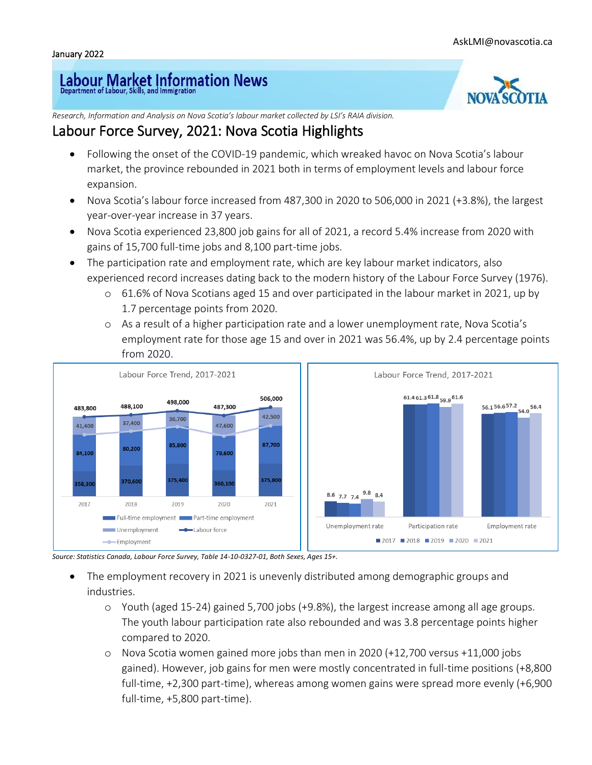## Labour Market Information News



*Research, Information and Analysis on Nova Scotia's labour market collected by LSI's RAIA division.*

## Labour Force Survey, 2021: Nova Scotia Highlights

- Following the onset of the COVID-19 pandemic, which wreaked havoc on Nova Scotia's labour market, the province rebounded in 2021 both in terms of employment levels and labour force expansion.
- Nova Scotia's labour force increased from 487,300 in 2020 to 506,000 in 2021 (+3.8%), the largest year-over-year increase in 37 years.
- Nova Scotia experienced 23,800 job gains for all of 2021, a record 5.4% increase from 2020 with gains of 15,700 full-time jobs and 8,100 part-time jobs.
- The participation rate and employment rate, which are key labour market indicators, also experienced record increases dating back to the modern history of the Labour Force Survey (1976).
	- o 61.6% of Nova Scotians aged 15 and over participated in the labour market in 2021, up by 1.7 percentage points from 2020.
	- o As a result of a higher participation rate and a lower unemployment rate, Nova Scotia's employment rate for those age 15 and over in 2021 was 56.4%, up by 2.4 percentage points from 2020.



*Source: Statistics Canada, Labour Force Survey, Table 14-10-0327-01, Both Sexes, Ages 15+.*

- The employment recovery in 2021 is unevenly distributed among demographic groups and industries.
	- o Youth (aged 15-24) gained 5,700 jobs (+9.8%), the largest increase among all age groups. The youth labour participation rate also rebounded and was 3.8 percentage points higher compared to 2020.
	- o Nova Scotia women gained more jobs than men in 2020 (+12,700 versus +11,000 jobs gained). However, job gains for men were mostly concentrated in full-time positions (+8,800 full-time, +2,300 part-time), whereas among women gains were spread more evenly (+6,900 full-time, +5,800 part-time).